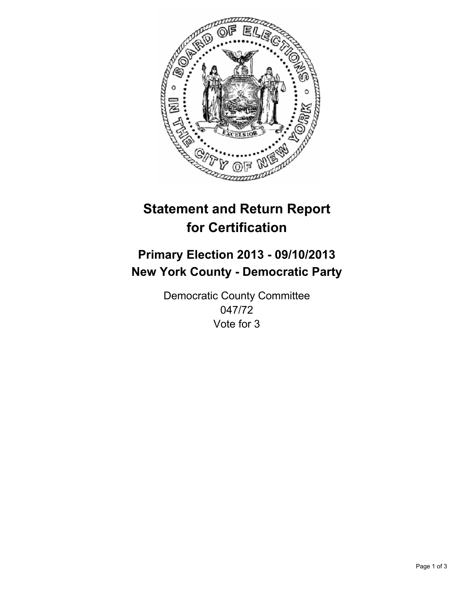

# **Statement and Return Report for Certification**

## **Primary Election 2013 - 09/10/2013 New York County - Democratic Party**

Democratic County Committee 047/72 Vote for 3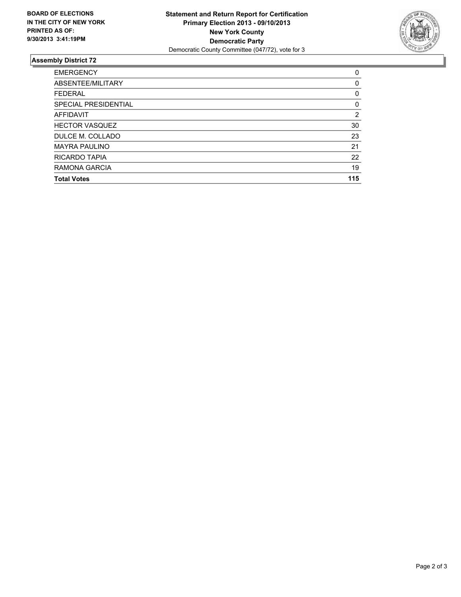

### **Assembly District 72**

| <b>Total Votes</b>    | 115 |
|-----------------------|-----|
| RAMONA GARCIA         | 19  |
| RICARDO TAPIA         | 22  |
| <b>MAYRA PAULINO</b>  | 21  |
| DULCE M. COLLADO      | 23  |
| <b>HECTOR VASQUEZ</b> | 30  |
| <b>AFFIDAVIT</b>      | 2   |
| SPECIAL PRESIDENTIAL  | 0   |
| <b>FEDERAL</b>        | 0   |
| ABSENTEE/MILITARY     | 0   |
| <b>EMERGENCY</b>      | 0   |